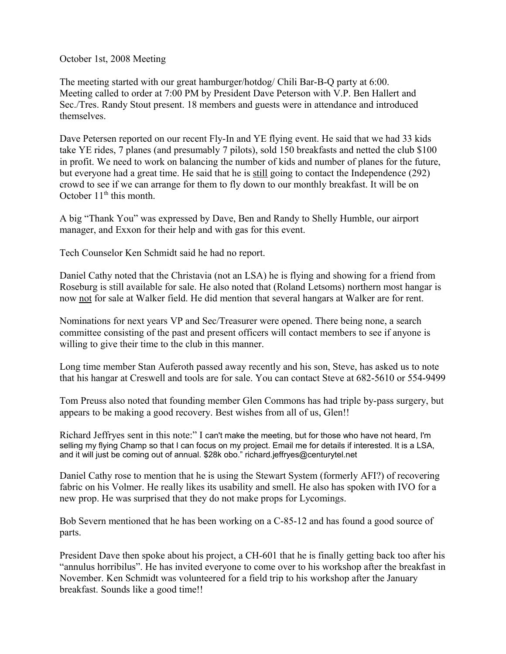October 1st, 2008 Meeting

The meeting started with our great hamburger/hotdog/ Chili Bar-B-Q party at 6:00. Meeting called to order at 7:00 PM by President Dave Peterson with V.P. Ben Hallert and Sec./Tres. Randy Stout present. 18 members and guests were in attendance and introduced themselves.

Dave Petersen reported on our recent Fly-In and YE flying event. He said that we had 33 kids take YE rides, 7 planes (and presumably 7 pilots), sold 150 breakfasts and netted the club \$100 in profit. We need to work on balancing the number of kids and number of planes for the future, but everyone had a great time. He said that he is still going to contact the Independence (292) crowd to see if we can arrange for them to fly down to our monthly breakfast. It will be on October  $11<sup>th</sup>$  this month.

A big "Thank You" was expressed by Dave, Ben and Randy to Shelly Humble, our airport manager, and Exxon for their help and with gas for this event.

Tech Counselor Ken Schmidt said he had no report.

Daniel Cathy noted that the Christavia (not an LSA) he is flying and showing for a friend from Roseburg is still available for sale. He also noted that (Roland Letsoms) northern most hangar is now not for sale at Walker field. He did mention that several hangars at Walker are for rent.

Nominations for next years VP and Sec/Treasurer were opened. There being none, a search committee consisting of the past and present officers will contact members to see if anyone is willing to give their time to the club in this manner.

Long time member Stan Auferoth passed away recently and his son, Steve, has asked us to note that his hangar at Creswell and tools are for sale. You can contact Steve at 682-5610 or 554-9499

Tom Preuss also noted that founding member Glen Commons has had triple by-pass surgery, but appears to be making a good recovery. Best wishes from all of us, Glen!!

Richard Jeffryes sent in this note:" I can't make the meeting, but for those who have not heard, I'm selling my flying Champ so that I can focus on my project. Email me for details if interested. It is a LSA, and it will just be coming out of annual. \$28k obo." richard.jeffryes@centurytel.net

Daniel Cathy rose to mention that he is using the Stewart System (formerly AFI?) of recovering fabric on his Volmer. He really likes its usability and smell. He also has spoken with IVO for a new prop. He was surprised that they do not make props for Lycomings.

Bob Severn mentioned that he has been working on a C-85-12 and has found a good source of parts.

President Dave then spoke about his project, a CH-601 that he is finally getting back too after his "annulus horribilus". He has invited everyone to come over to his workshop after the breakfast in November. Ken Schmidt was volunteered for a field trip to his workshop after the January breakfast. Sounds like a good time!!